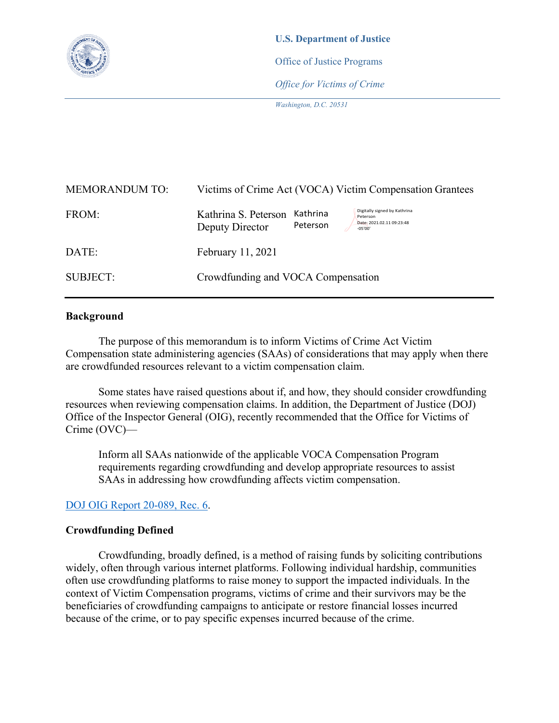

**U.S. Department of Justice**  Office of Justice Programs *Office for Victims of Crime*

*Washington, D.C. 20531*

| <b>MEMORANDUM TO:</b> | Victims of Crime Act (VOCA) Victim Compensation Grantees                                                                                              |
|-----------------------|-------------------------------------------------------------------------------------------------------------------------------------------------------|
| FROM:                 | Digitally signed by Kathrina<br>Kathrina S. Peterson<br>Kathrina<br>Peterson<br>Date: 2021.02.11 09:23:48<br>Peterson<br>Deputy Director<br>$-05'00'$ |
| DATE:                 | February 11, 2021                                                                                                                                     |
| <b>SUBJECT:</b>       | Crowdfunding and VOCA Compensation                                                                                                                    |

## **Background**

The purpose of this memorandum is to inform Victims of Crime Act Victim Compensation state administering agencies (SAAs) of considerations that may apply when there are crowdfunded resources relevant to a victim compensation claim.

Some states have raised questions about if, and how, they should consider crowdfunding resources when reviewing compensation claims. In addition, the Department of Justice (DOJ) Office of the Inspector General (OIG), recently recommended that the Office for Victims of Crime (OVC)—

Inform all SAAs nationwide of the applicable VOCA Compensation Program requirements regarding crowdfunding and develop appropriate resources to assist SAAs in addressing how crowdfunding affects victim compensation.

# [DOJ OIG Report 20-089, Rec. 6.](https://oig.justice.gov/sites/default/files/reports/20-089.pdf)

## **Crowdfunding Defined**

Crowdfunding, broadly defined, is a method of raising funds by soliciting contributions widely, often through various internet platforms. Following individual hardship, communities often use crowdfunding platforms to raise money to support the impacted individuals. In the context of Victim Compensation programs, victims of crime and their survivors may be the beneficiaries of crowdfunding campaigns to anticipate or restore financial losses incurred because of the crime, or to pay specific expenses incurred because of the crime.